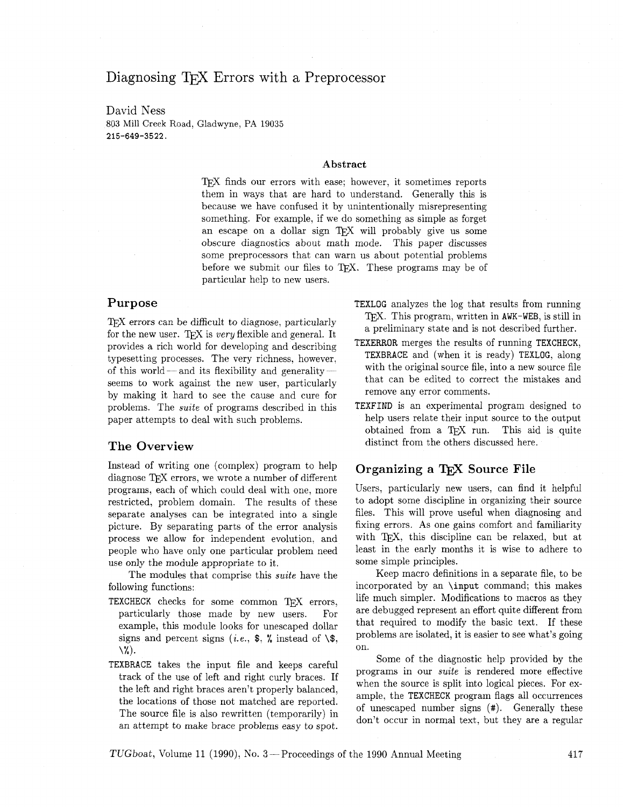# Diagnosing T<sub>F</sub>X Errors with a Preprocessor

David Ness 803 Mill Creek Road, Gladwyne, PA 19035 215-649-3522.

#### **Abstract**

TEX finds our errors with ease: however, it sometimes reports them in ways that are hard to understand. Generally this is because we have confused it by unintentionally misrepresenting something. For example, if we do something as simple as forget an escape on a dollar sign TEX will probably give us some obscure diagnostics about math mode. This paper discusses some preprocessors that can warn us about potential problems before we submit our files to TEX. These programs may be of particular help to new users.

## **Purpose**

T<sub>F</sub>X errors can be difficult to diagnose, particularly for the new user. TFX is *very* flexible and general. It provides a rich world for developing and describing typesetting processes. The very richness, however, of this world — and its flexibility and generality seems to work against the new user, particularly by making it hard to see the cause and cure for problems. The suite of programs described in this paper attempts to deal with such problems.

#### **The Overview**

Instead of writing one (complex) program to help diagnose TFX errors, we wrote a number of different programs, each of which could deal with one, more restricted, problem domain. The results of these separate analyses can be integrated into a single picture. By separating parts of the error analysis process we allow for independent evolution, and people who have only one particular problem need use only the module appropriate to it.

The modules that comprise this suite have the following functions:

- TEXCHECK checks for some common TEX errors, particularly those made by new users. For example, this module looks for unescaped dollar signs and percent signs (*i.e.*,  $\frac{1}{2}$ ,  $\frac{1}{2}$ , instead of  $\frac{1}{2}$ , \%).
- TEXBRACE takes the input file and keeps careful track of the use of left and right curly braces. If the left and right braces aren't properly balanced, the locations of those not matched are reported. The source file is also rewritten (temporarily) in an attempt to make brace problems easy to spot.
- TEXLOG analyzes the log that results from running TFX. This program, written in AWK-WEB, is still in a preliminary state and is not described further.
- TEXERROR merges the results of running TEXCHECK, TEXBRACE and (when it is ready) TEXLOG, along with the original source file, into a new source file that can be edited to correct the mistakes and remove any error comments.
- TEXFIND is an experimental program designed to help users relate their input source to the output obtained from a TEX run. This aid is quite distinct from the others discussed here.

### **Organizing a T<sub>F</sub>X Source File**

Users, particularly new users. can find it helpful to adopt some discipline in organizing their source files. This will prove useful when diagnosing and fixing errors. As one gains comfort and familiarity with TEX, this discipline can be relaxed, but at least in the early months it is wise to adhere to some simple principles.

Keep macro definitions in a separate file, to be incorporated by an \input command; this makes life much simpler. Modifications to macros as they are debugged represent an effort quite different from that required to modify the basic text. If these problems are isolated, it is easier to see what's going on.

Some of the diagnostic help provided by the programs in our suite is rendered more effective when the source is split into logical pieces. For example, the TEXCHECK program flags all occurrences of unescaped number signs (#). Generally these don't occur in normal text, but they are a regular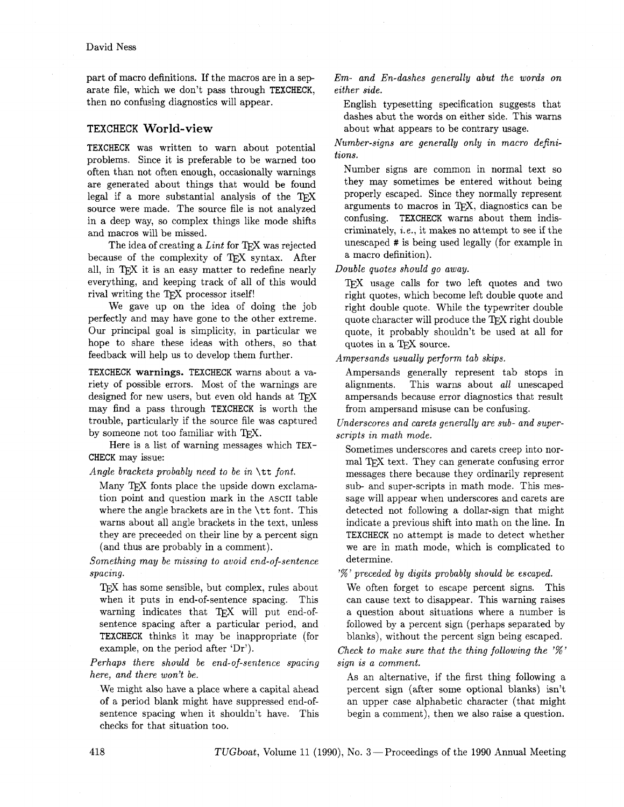part of macro definitions. If the macros are in a sep arate file, which we don't pass through TEXCHECK, then no confusing diagnostics will appear.

#### **TEXCHECK World-view**

TEXCHECK was written to warn about potential problems. Since it is preferable to be warned too often than not often enough, occasionally warnings are generated about things that would be found legal if a more substantial analysis of the TFX source were made. The source file is not analyzed in a deep way, so complex things like mode shifts and macros will be missed.

The idea of creating a *Lint* for TFX was rejected because of the complexity of *Q,X* syntax. After all, in TEX it is an easy matter to redefine nearly everything, and keeping track of all of this would rival writing the TFX processor itself!

We gave up on the idea of doing the job perfectly and may have gone to the other extreme. Our principal goal is simplicity, in particular we hope to share these ideas with others, so that feedback will help us to develop them further.

TEXCHECK **warnings.** TEXCHECK warns about a variety of possible errors. Most of the warnings are designed for new users, but even old hands at TFX may find a pass through TEXCHECK is worth the trouble, particularly if the source file was captured by someone not too familiar with TFX.

Here is a list of warning messages which TEX-CHECK may issue:

*Angle brackets probably need to be in* \tt *font.* 

Many T<sub>F</sub>X fonts place the upside down exclamation point and question mark in the ASCII table where the angle brackets are in the \tt font. This warns about all angle brackets in the text, unless they are preceeded on their line by a percent sign (and thus are probably in a comment).

*Something may be missing to avoid end-of-sentence spacing.* 

TEX has some sensible, but complex, rules about when it puts in end-of-sentence spacing. This warning indicates that  $T_{F}X$  will put end-ofsentence spacing after a particular period, and TEXCHECK thinks it may be inappropriate (for example, on the period after 'Dr').

*Perhaps there should be end-of-sentence spacing here, and there won't be.* 

We might also have a place where a capital ahead of a period blank might have suppressed end-ofsentence spacing when it shouldn't have. This checks for that situation too.

*Em- and En-dashes generally abut the words on either side.* 

English typesetting specification suggests that dashes abut the words on either side. This warns about what appears to be contrary usage.

*Number-signs are generally only in macro definitions.* 

Number signs are common in normal text so they may sometimes be entered without being properly escaped. Since they normally represent arguments to macros in  $T<sub>F</sub>X$ , diagnostics can be confusing. TEXCHECK warns about them indiscriminately, *i.e.,* it makes no attempt to see if the unescaped # is being used legally (for example in a macro definition).

*Double quotes should go away.* 

TFX usage calls for two left quotes and two right quotes, which become left double quote and right double quote. While the typewriter double quote character will produce the TEX right double quote, it probably shouldn't be used at all for quotes in a T<sub>F</sub>X source.

*Ampersands usually perform tab skips.* 

Ampersands generally represent tab stops in alignments. This warns about *all* unescaped ampersands because error diagnostics that result from ampersand misuse can be confusing.

*Underscores and carets generally are sub- and superscripts in math mode.* 

Sometimes underscores and carets creep into normal TFX text. They can generate confusing error messages there because they ordinarily represent sub- and super-scripts in math mode. This message will appear when underscores and carets are detected not following a dollar-sign that might indicate a previous shift into math on the line. In TEXCHECK no attempt is made to detect whether we are in math mode, which is complicated to determine.

'% ' *preceded by digits probably should be escaped.* 

We often forget to escape percent signs. This can cause text to disappear. This warning raises a question about situations where a number is followed by a percent sign (perhaps separated by blanks), without the percent sign being escaped.

*Check to make sure that the thing following the* '%' *sign is a comment.* 

As an alternative, if the first thing following a percent sign (after some optional blanks) isn't an upper case alphabetic character (that might begin a comment), then we also raise a question.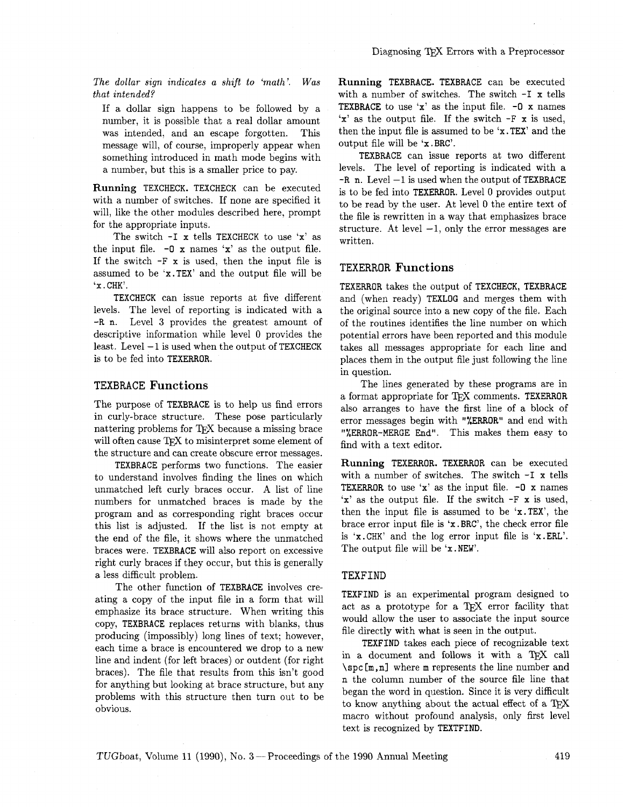The dollar sign indicates a shift to 'math'. Was that intended?

If a dollar sign happens to be followed by a number, it is possible that a real dollar amount was intended, and an escape forgotten. This message will, of course, improperly appear when something introduced in math mode begins with a number, but this is a smaller price to pay.

**Running** TEXCHECK. TEXCHECK can be executed with a number of switches. If none are specified it will, like the other modules described here, prompt for the appropriate inputs.

The switch  $-I$  x tells TEXCHECK to use 'x' as the input file.  $-0 \times \text{names } 'x'$  as the output file. If the switch  $-F \times$  is used, then the input file is assumed to be 'x.TEX' and the output file will be **'x** . CHK'.

TEXCHECK can issue reports at five different levels. The level of reporting is indicated with a -R n. Level **3** provides the greatest amount of descriptive information while level 0 provides the least. Level  $-1$  is used when the output of TEXCHECK is to be fed into TEXERROR.

#### **TEXBRACE Functions**

The purpose of TEXBRACE is to help us find errors in curly-brace structure. These pose particularly nattering problems for TFX because a missing brace will often cause  $T_F X$  to misinterpret some element of the structure and can create obscure error messages.

TEXBRACE performs two functions. The easier to understand involves finding the lines on which unmatched left curly braces occur. A list of line numbers for unmatched braces is made by the program and as corresponding right braces occur this list is adjusted. If the list is not empty at the end of the file, it shows where the unmatched braces were. TEXBRACE will also report on excessive right curly braces if they occur, but this is generally a less difficult problem.

The other function of TEXBRACE involves creating a copy of the input file in a form that will emphasize its brace structure. When writing this copy, TEXBRACE replaces returns with blanks, thus producing (impossibly) long lines of text; however, each time a brace is encountered we drop to a new line and indent (for left braces) or outdent (for right braces). The file that results from this isn't good for anything but looking at brace structure, but any problems with this structure then turn out to be obvious.

**Running** TEXBRACE. TEXBRACE can be executed with a number of switches. The switch  $-I x$  tells **TEXBRACE** to use  $x'$  as the input file.  $-0$  x names  $x'$  as the output file. If the switch  $-F \times$  is used, then the input file is assumed to be 'x. TEX' and the output file will be 'x .BRC'.

TEXBRACE can issue reports at two different levels. The level of reporting is indicated with a  $-R$  n. Level  $-1$  is used when the output of TEXBRACE is to be fed into TEXERROR. Level 0 provides output to be read by the user. At level 0 the entire text of the file is rewritten in a way that emphasizes brace structure. At level  $-1$ , only the error messages are written.

#### **TEXERROR Functions**

TEXERROR takes the output of TEXCHECK, TEXBRACE and (when ready) TEXLOG and merges them with the original source into a new copy of the file. Each of the routines identifies the line number on which potential errors have been reported and this module takes all messages appropriate for each line and places them in the output file just following the line in question.

The lines generated by these programs are in a format appropriate for TFX comments. TEXERROR also arranges to have the first line of a block of error messages begin with "XERROR" and end with "%ERROR-MERGE End". This makes them easy to find with a text editor.

**Running** TEXERROR. TEXERROR can be executed with a number of switches. The switch -I x tells **TEXERROR** to use  $x'$  as the input file.  $-0$  x names 'x' as the output file. If the switch -F **x** is used, then the input file is assumed to be 'x.TEX', the brace error input file is 'x .BRC', the check error file is 'x. CHK' and the log error input file is 'x .ERL'. The output file will be 'x. NEW'.

#### **TEXFIND**

TEXFIND is an experimental program designed to act as a prototype for a TFX error facility that would allow the user to associate the input source file directly with what is seen in the output.

TEXFIND takes each piece of recognizable text in a document and follows it with a TEX call **\spc [m** , **n]** where m represents the line number and n the column number of the source file line that began the word in question. Since it is very difficult to know anything about the actual effect of a macro without profound analysis, only first level text is recognized by TEXTFIND.

TUGboat, Volume 11 (1990), No. 3 – Proceedings of the 1990 Annual Meeting